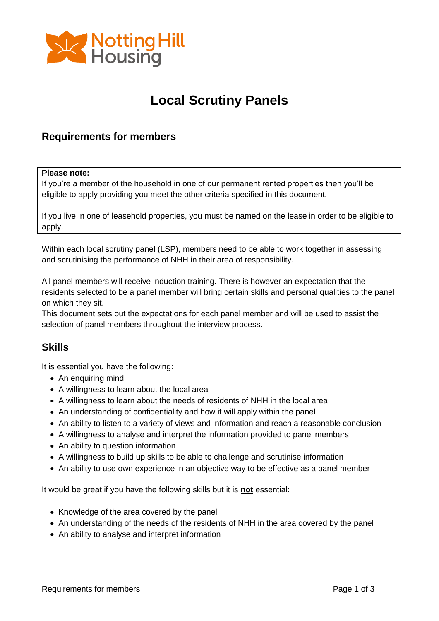

### **Local Scrutiny Panels**

#### **Requirements for members**

#### **Please note:**

If you're a member of the household in one of our permanent rented properties then you'll be eligible to apply providing you meet the other criteria specified in this document.

If you live in one of leasehold properties, you must be named on the lease in order to be eligible to apply.

Within each local scrutiny panel (LSP), members need to be able to work together in assessing and scrutinising the performance of NHH in their area of responsibility.

All panel members will receive induction training. There is however an expectation that the residents selected to be a panel member will bring certain skills and personal qualities to the panel on which they sit.

This document sets out the expectations for each panel member and will be used to assist the selection of panel members throughout the interview process.

#### **Skills**

It is essential you have the following:

- An enquiring mind
- A willingness to learn about the local area
- A willingness to learn about the needs of residents of NHH in the local area
- An understanding of confidentiality and how it will apply within the panel
- An ability to listen to a variety of views and information and reach a reasonable conclusion
- A willingness to analyse and interpret the information provided to panel members
- An ability to question information
- A willingness to build up skills to be able to challenge and scrutinise information
- An ability to use own experience in an objective way to be effective as a panel member

It would be great if you have the following skills but it is **not** essential:

- Knowledge of the area covered by the panel
- An understanding of the needs of the residents of NHH in the area covered by the panel
- An ability to analyse and interpret information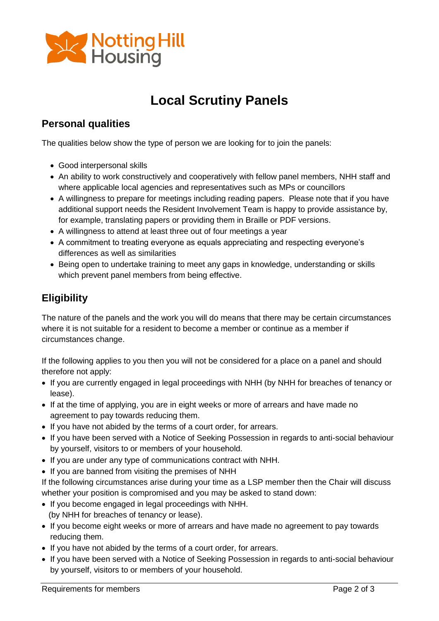

# **Local Scrutiny Panels**

### **Personal qualities**

The qualities below show the type of person we are looking for to join the panels:

- Good interpersonal skills
- An ability to work constructively and cooperatively with fellow panel members, NHH staff and where applicable local agencies and representatives such as MPs or councillors
- A willingness to prepare for meetings including reading papers. Please note that if you have additional support needs the Resident Involvement Team is happy to provide assistance by, for example, translating papers or providing them in Braille or PDF versions.
- A willingness to attend at least three out of four meetings a year
- A commitment to treating everyone as equals appreciating and respecting everyone's differences as well as similarities
- Being open to undertake training to meet any gaps in knowledge, understanding or skills which prevent panel members from being effective.

### **Eligibility**

The nature of the panels and the work you will do means that there may be certain circumstances where it is not suitable for a resident to become a member or continue as a member if circumstances change.

If the following applies to you then you will not be considered for a place on a panel and should therefore not apply:

- If you are currently engaged in legal proceedings with NHH (by NHH for breaches of tenancy or lease).
- If at the time of applying, you are in eight weeks or more of arrears and have made no agreement to pay towards reducing them.
- If you have not abided by the terms of a court order, for arrears.
- If you have been served with a Notice of Seeking Possession in regards to anti-social behaviour by yourself, visitors to or members of your household.
- If you are under any type of communications contract with NHH.
- If you are banned from visiting the premises of NHH

If the following circumstances arise during your time as a LSP member then the Chair will discuss whether your position is compromised and you may be asked to stand down:

- If you become engaged in legal proceedings with NHH. (by NHH for breaches of tenancy or lease).
- If you become eight weeks or more of arrears and have made no agreement to pay towards reducing them.
- If you have not abided by the terms of a court order, for arrears.
- If you have been served with a Notice of Seeking Possession in regards to anti-social behaviour by yourself, visitors to or members of your household.